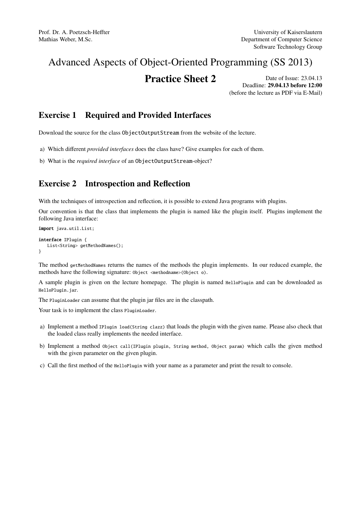# Advanced Aspects of Object-Oriented Programming (SS 2013)

# **Practice Sheet 2** Date of Issue: 23.04.13

Deadline: 29.04.13 before 12:00 (before the lecture as PDF via E-Mail)

### Exercise 1 Required and Provided Interfaces

Download the source for the class ObjectOutputStream from the website of the lecture.

- a) Which different *provided interfaces* does the class have? Give examples for each of them.
- b) What is the *required interface* of an ObjectOutputStream-object?

## Exercise 2 Introspection and Reflection

With the techniques of introspection and reflection, it is possible to extend Java programs with plugins.

Our convention is that the class that implements the plugin is named like the plugin itself. Plugins implement the following Java interface:

```
import java.util.List;
```

```
interface IPlugin {
   List<String> getMethodNames();
}
```
The method getMethodNames returns the names of the methods the plugin implements. In our reduced example, the methods have the following signature: Object <methodname>(Object o).

A sample plugin is given on the lecture homepage. The plugin is named HelloPlugin and can be downloaded as HelloPlugin.jar.

The PluginLoader can assume that the plugin jar files are in the classpath.

Your task is to implement the class PluginLoader.

- a) Implement a method IPlugin load(String clazz) that loads the plugin with the given name. Please also check that the loaded class really implements the needed interface.
- b) Implement a method Object call(IPlugin plugin, String method, Object param) which calls the given method with the given parameter on the given plugin.
- c) Call the first method of the HelloPlugin with your name as a parameter and print the result to console.